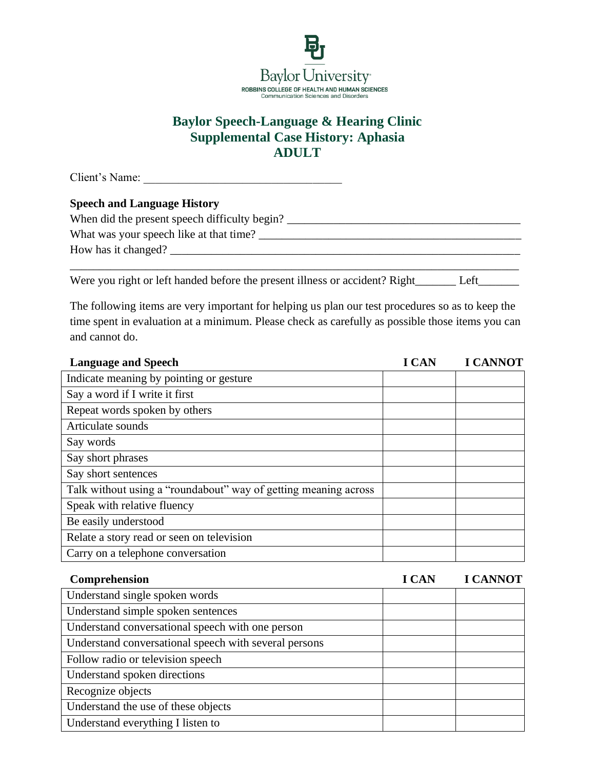

## **Baylor Speech-Language & Hearing Clinic Supplemental Case History: Aphasia ADULT**

Client's Name:

## **Speech and Language History**

| When did the present speech difficulty begin? |
|-----------------------------------------------|
| What was your speech like at that time?       |
| How has it changed?                           |
|                                               |

Were you right or left handed before the present illness or accident? Right\_\_\_\_\_\_\_\_ Left\_\_\_\_\_\_\_\_\_\_

The following items are very important for helping us plan our test procedures so as to keep the time spent in evaluation at a minimum. Please check as carefully as possible those items you can and cannot do.

| <b>Language and Speech</b>                                      | <b>LCAN</b> | <b>I CANNOT</b> |
|-----------------------------------------------------------------|-------------|-----------------|
| Indicate meaning by pointing or gesture                         |             |                 |
| Say a word if I write it first                                  |             |                 |
| Repeat words spoken by others                                   |             |                 |
| Articulate sounds                                               |             |                 |
| Say words                                                       |             |                 |
| Say short phrases                                               |             |                 |
| Say short sentences                                             |             |                 |
| Talk without using a "roundabout" way of getting meaning across |             |                 |
| Speak with relative fluency                                     |             |                 |
| Be easily understood                                            |             |                 |
| Relate a story read or seen on television                       |             |                 |
| Carry on a telephone conversation                               |             |                 |
|                                                                 |             |                 |

| Comprehension                                         | <b>I CAN</b> | <b>I CANNOT</b> |
|-------------------------------------------------------|--------------|-----------------|
| Understand single spoken words                        |              |                 |
| Understand simple spoken sentences                    |              |                 |
| Understand conversational speech with one person      |              |                 |
| Understand conversational speech with several persons |              |                 |
| Follow radio or television speech                     |              |                 |
| Understand spoken directions                          |              |                 |
| Recognize objects                                     |              |                 |
| Understand the use of these objects                   |              |                 |
| Understand everything I listen to                     |              |                 |